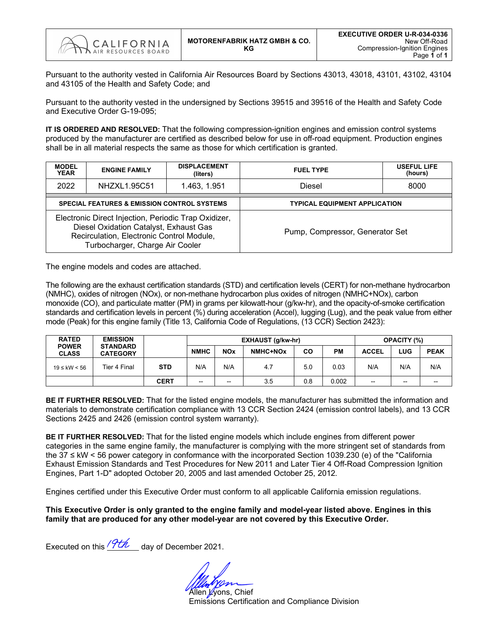

Pursuant to the authority vested in California Air Resources Board by Sections 43013, 43018, 43101, 43102, 43104 and 43105 of the Health and Safety Code; and

Pursuant to the authority vested in the undersigned by Sections 39515 and 39516 of the Health and Safety Code and Executive Order G-19-095;

**IT IS ORDERED AND RESOLVED:** That the following compression-ignition engines and emission control systems produced by the manufacturer are certified as described below for use in off-road equipment. Production engines shall be in all material respects the same as those for which certification is granted.

| <b>MODEL</b><br><b>YEAR</b> | <b>ENGINE FAMILY</b>                                                                                                                                                           | <b>DISPLACEMENT</b><br>(liters) | <b>FUEL TYPE</b>                     | <b>USEFUL LIFE</b><br>(hours) |  |  |  |
|-----------------------------|--------------------------------------------------------------------------------------------------------------------------------------------------------------------------------|---------------------------------|--------------------------------------|-------------------------------|--|--|--|
| 2022                        | NHZXL1.95C51                                                                                                                                                                   | 1.463, 1.951                    | Diesel                               | 8000                          |  |  |  |
|                             | <b>SPECIAL FEATURES &amp; EMISSION CONTROL SYSTEMS</b>                                                                                                                         |                                 | <b>TYPICAL EQUIPMENT APPLICATION</b> |                               |  |  |  |
|                             | Electronic Direct Injection, Periodic Trap Oxidizer,<br>Diesel Oxidation Catalyst, Exhaust Gas<br>Recirculation, Electronic Control Module,<br>Turbocharger, Charge Air Cooler |                                 | Pump, Compressor, Generator Set      |                               |  |  |  |

The engine models and codes are attached.

The following are the exhaust certification standards (STD) and certification levels (CERT) for non-methane hydrocarbon (NMHC), oxides of nitrogen (NOx), or non-methane hydrocarbon plus oxides of nitrogen (NMHC+NOx), carbon monoxide (CO), and particulate matter (PM) in grams per kilowatt-hour (g/kw-hr), and the opacity-of-smoke certification standards and certification levels in percent (%) during acceleration (Accel), lugging (Lug), and the peak value from either mode (Peak) for this engine family (Title 13, California Code of Regulations, (13 CCR) Section 2423):

| <b>RATED</b>                 | <b>EMISSION</b>                    |             |                          |                          | EXHAUST (g/kw-hr) | <b>OPACITY (%)</b> |           |              |       |                          |
|------------------------------|------------------------------------|-------------|--------------------------|--------------------------|-------------------|--------------------|-----------|--------------|-------|--------------------------|
| <b>POWER</b><br><b>CLASS</b> | <b>STANDARD</b><br><b>CATEGORY</b> |             | <b>NMHC</b>              | <b>NOx</b>               | NMHC+NOx          | CO                 | <b>PM</b> | <b>ACCEL</b> | LUG   | <b>PEAK</b>              |
| $19 ≤$ kW < 56               | Tier 4 Final                       | <b>STD</b>  | N/A                      | N/A                      | 4.7               | 5.0                | 0.03      | N/A          | N/A   | N/A                      |
|                              |                                    | <b>CERT</b> | $\overline{\phantom{m}}$ | $\overline{\phantom{a}}$ | 3.5               | 0.8                | 0.002     | --           | $- -$ | $\overline{\phantom{m}}$ |

**BE IT FURTHER RESOLVED:** That for the listed engine models, the manufacturer has submitted the information and materials to demonstrate certification compliance with 13 CCR Section 2424 (emission control labels), and 13 CCR Sections 2425 and 2426 (emission control system warranty).

**BE IT FURTHER RESOLVED:** That for the listed engine models which include engines from different power categories in the same engine family, the manufacturer is complying with the more stringent set of standards from the 37 ≤ kW < 56 power category in conformance with the incorporated Section 1039.230 (e) of the "California Exhaust Emission Standards and Test Procedures for New 2011 and Later Tier 4 Off-Road Compression Ignition Engines, Part 1-D" adopted October 20, 2005 and last amended October 25, 2012.

Engines certified under this Executive Order must conform to all applicable California emission regulations.

**This Executive Order is only granted to the engine family and model-year listed above. Engines in this family that are produced for any other model-year are not covered by this Executive Order.**

Executed on this  $\frac{9th}{100}$  day of December 2021.

Allen *V*yons, Chief Emissions Certification and Compliance Division